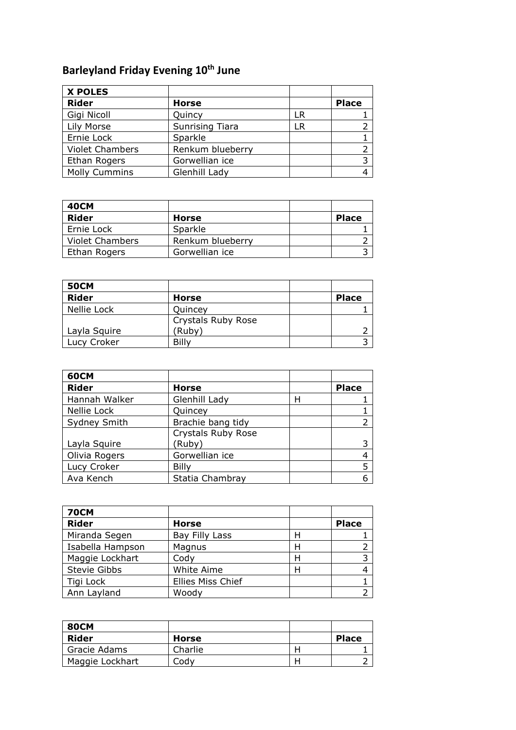## **Barleyland Friday Evening 10th June**

| <b>X POLES</b>         |                        |    |              |
|------------------------|------------------------|----|--------------|
| <b>Rider</b>           | <b>Horse</b>           |    | <b>Place</b> |
| Gigi Nicoll            | Quincy                 | LR |              |
| Lily Morse             | <b>Sunrising Tiara</b> | LR |              |
| Ernie Lock             | Sparkle                |    |              |
| <b>Violet Chambers</b> | Renkum blueberry       |    |              |
| <b>Ethan Rogers</b>    | Gorwellian ice         |    |              |
| <b>Molly Cummins</b>   | Glenhill Lady          |    |              |

| 40CM            |                  |              |
|-----------------|------------------|--------------|
| Rider           | <b>Horse</b>     | <b>Place</b> |
| Ernie Lock      | Sparkle          |              |
| Violet Chambers | Renkum blueberry |              |
| Ethan Rogers    | Gorwellian ice   |              |

| <b>50CM</b>  |                           |              |
|--------------|---------------------------|--------------|
| <b>Rider</b> | Horse                     | <b>Place</b> |
| Nellie Lock  | Quincey                   |              |
|              | <b>Crystals Ruby Rose</b> |              |
| Layla Squire | (Ruby)                    |              |
| Lucy Croker  | Billy                     |              |

| <b>60CM</b>   |                    |   |              |
|---------------|--------------------|---|--------------|
| <b>Rider</b>  | Horse              |   | <b>Place</b> |
| Hannah Walker | Glenhill Lady      | н |              |
| Nellie Lock   | Quincey            |   |              |
| Sydney Smith  | Brachie bang tidy  |   |              |
|               | Crystals Ruby Rose |   |              |
| Layla Squire  | (Ruby)             |   |              |
| Olivia Rogers | Gorwellian ice     |   |              |
| Lucy Croker   | Billy              |   |              |
| Ava Kench     | Statia Chambray    |   |              |

| <b>70CM</b>      |                          |   |              |
|------------------|--------------------------|---|--------------|
| <b>Rider</b>     | <b>Horse</b>             |   | <b>Place</b> |
| Miranda Segen    | Bay Filly Lass           | н |              |
| Isabella Hampson | Magnus                   | Н |              |
| Maggie Lockhart  | Cody                     | н |              |
| Stevie Gibbs     | White Aime               | Н |              |
| Tigi Lock        | <b>Ellies Miss Chief</b> |   |              |
| Ann Layland      | Woody                    |   |              |

| <b>80CM</b>     |         |   |              |
|-----------------|---------|---|--------------|
| Rider           | Horse   |   | <b>Place</b> |
| Gracie Adams    | Charlie | ⊢ |              |
| Maggie Lockhart | Codv    | н |              |